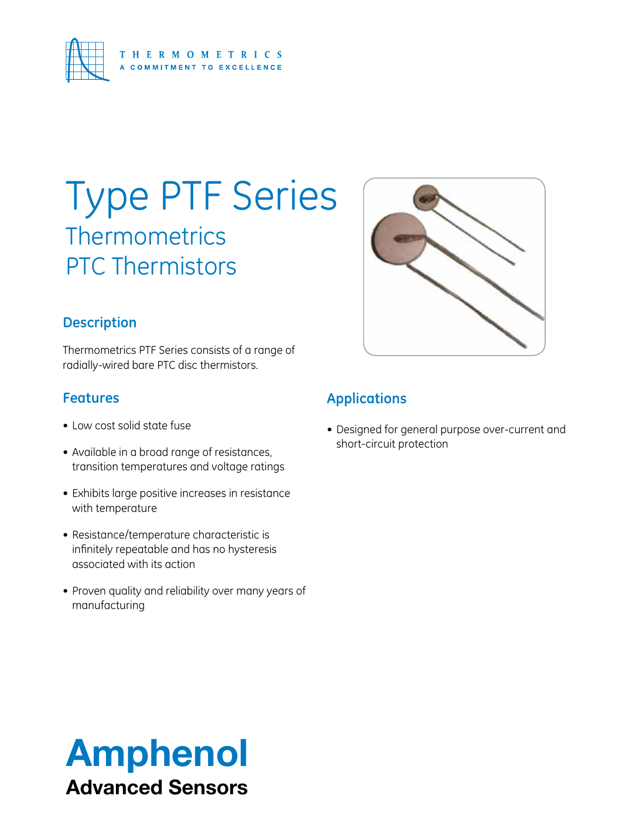

# Type PTF Series **Thermometrics** PTC Thermistors

## **Description**

Thermometrics PTF Series consists of a range of radially-wired bare PTC disc thermistors.

## **Features**

- • Low cost solid state fuse
- Available in a broad range of resistances, transition temperatures and voltage ratings
- Exhibits large positive increases in resistance with temperature
- Resistance/temperature characteristic is infinitely repeatable and has no hysteresis associated with its action
- Proven quality and reliability over many years of manufacturing



## **Applications**

• Designed for general purpose over-current and short-circuit protection

# Amphenol Advanced Sensors